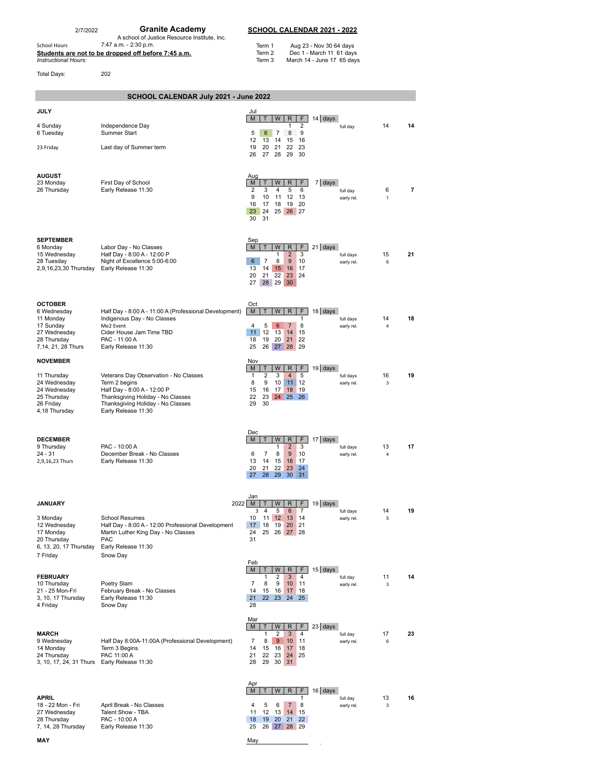2/7/2022 **Granite Academy SCHOOL CALENDAR 2021 - 2022**<br>A school of Justice Resource Institute, Inc.<br>School Hours 7:47 a.m. - 2:30 p.m. Term 1 Aug 23 - Nov 30 64 days **Students are not to be dropped off before 7:45 a.m.** Term 2 Dec 1 - March 11 61 days<br>Instructional Hours: The Stays and Definition of the Stays of Term 3 March 14 - June 17 65 days

 $\bar{\mathcal{A}}$ 

Total Days: 202

| SCHOOL CALENDAR July 2021 - June 2022                                                                        |                                                                                                                                                                                        |                                                                                                                                                                                                                                 |                         |         |    |  |  |  |  |  |
|--------------------------------------------------------------------------------------------------------------|----------------------------------------------------------------------------------------------------------------------------------------------------------------------------------------|---------------------------------------------------------------------------------------------------------------------------------------------------------------------------------------------------------------------------------|-------------------------|---------|----|--|--|--|--|--|
| <b>JULY</b>                                                                                                  |                                                                                                                                                                                        | Jul<br>$14$ days<br>F.<br>W<br>R<br>M<br>т                                                                                                                                                                                      |                         |         |    |  |  |  |  |  |
| 4 Sunday<br>6 Tuesday                                                                                        | Independence Day<br>Summer Start                                                                                                                                                       | 2<br>1<br>5<br>9<br>6<br>$\overline{7}$<br>8                                                                                                                                                                                    | full day                | 14      | 14 |  |  |  |  |  |
| 23 Friday                                                                                                    | Last day of Summer term                                                                                                                                                                | 12<br>16<br>13<br>14<br>15<br>19<br>20<br>21<br>22<br>23<br>29 30<br>26<br>27<br>28                                                                                                                                             |                         |         |    |  |  |  |  |  |
| <b>AUGUST</b><br>23 Monday<br>26 Thursday                                                                    | First Day of School<br>Early Release 11:30                                                                                                                                             | Aug<br>F.<br>$7$ days<br>M<br>W<br>R<br>т<br>$\overline{2}$<br>3<br>4<br>5<br>6<br>9<br>10<br>11<br>12<br>13<br>16<br>19 20<br>17<br>18<br>24<br>25 26 27<br>23<br>30<br>31                                                     | full day<br>early rel.  | 6<br>1  | 7  |  |  |  |  |  |
| <b>SEPTEMBER</b><br>6 Monday<br>15 Wednesday<br>28 Tuesday<br>2,9,16,23,30 Thursday                          | Labor Day - No Classes<br>Half Day - 8:00 A - 12:00 P<br>Night of Excellence 5:00-6:00<br>Early Release 11:30                                                                          | Sep<br>W<br>F.<br>$21$ days<br>M<br>R<br>$\overline{2}$<br>3<br>1<br>$\overline{7}$<br>6<br>8<br>9<br>10<br>16<br>13<br>14<br>15<br>17<br>20<br>21<br>22<br>23<br>24<br>27<br>28 29<br>30                                       | full days<br>early rel. | 15<br>6 | 21 |  |  |  |  |  |
| <b>OCTOBER</b><br>6 Wednesday<br>11 Monday<br>17 Sunday<br>27 Wednesday<br>28 Thursday<br>7,14, 21, 28 Thurs | Half Day - 8:00 A - 11:00 A (Professional Development)<br>Indigenous Day - No Classes<br>Me2 Event<br>Cider House Jam Time TBD<br>PAC - 11:00 A<br>Early Release 11:30                 | Oct<br>W<br>F<br>$18$ days<br>M<br>T<br>R<br>1<br>5<br>$6\phantom{1}$<br>$\overline{7}$<br>8<br>4<br>12<br>11<br>13<br>14<br>15<br>20<br>21<br>22<br>18<br>19<br>25<br>26 27<br>28 29                                           | full days<br>early rel. | 14<br>4 | 18 |  |  |  |  |  |
| <b>NOVEMBER</b><br>11 Thursday<br>24 Wednesday<br>24 Wednesday<br>25 Thursday<br>26 Friday<br>4,18 Thursday  | Veterans Day Observation - No Classes<br>Term 2 begins<br>Half Day - 8:00 A - 12:00 P<br>Thanksgiving Holiday - No Classes<br>Thanksgiving Holiday - No Classes<br>Early Release 11:30 | Nov<br>M<br>W<br>R<br>F<br>$19$ days<br>т<br>$\mathbf{1}$<br>2<br>3<br>$\overline{4}$<br>5<br>12<br>8<br>9<br>10<br>11<br>19<br>15<br>16<br>17<br>18<br>23<br>24<br>25<br>26<br>22<br>29<br>30                                  | full days<br>early rel. | 16<br>3 | 19 |  |  |  |  |  |
| <b>DECEMBER</b><br>9 Thursday<br>24 - 31<br>2,9,16,23 Thurs                                                  | PAC - 10:00 A<br>December Break - No Classes<br>Early Release 11:30                                                                                                                    | Dec<br>F.<br>M<br>W<br>R<br>$17$ days<br>т<br>$\mathbf{1}$<br>$\overline{2}$<br>3<br>$\overline{7}$<br>6<br>8<br>9<br>10<br>15<br>13<br>14<br>16<br>17<br>21<br>22<br>23<br>20<br>24<br>28<br>29<br>30 <sup>1</sup><br>27<br>31 | full days<br>early rel. | 13<br>4 | 17 |  |  |  |  |  |
| <b>JANUARY</b><br>3 Monday<br>12 Wednesday<br>17 Monday<br>20 Thursday<br>6, 13, 20, 17 Thursday             | School Resumes<br>Half Day - 8:00 A - 12:00 Professional Development<br>Martin Luther King Day - No Classes<br><b>PAC</b><br>Early Release 11:30                                       | Jan<br>$2022$ M<br>W<br>F<br>$19$ days<br>R<br>5<br>4<br>$6\phantom{1}6$<br>$\overline{7}$<br>3<br>$11 \quad 12$<br>13 14<br>10<br>$20$ 21<br>18 19<br>17<br>24<br>25 26 27 28<br>31                                            | full days<br>early rel. | 14<br>5 | 19 |  |  |  |  |  |
| 7 Friday<br><b>FEBRUARY</b><br>10 Thursday<br>21 - 25 Mon-Fri<br>3, 10, 17 Thursday<br>4 Friday              | Snow Day<br>Poetry Slam<br>February Break - No Classes<br>Early Release 11:30<br>Snow Day                                                                                              | Feb<br>$15$ days<br>M<br>W<br>R<br>F<br>т<br>1<br>2<br>3<br>4<br>7<br>8<br>9<br>10<br>11<br>14<br>15<br>16<br>17 <sup>2</sup><br>18<br>21<br>22<br>23<br>24<br>25<br>28                                                         | full day<br>early rel.  | 11<br>3 | 14 |  |  |  |  |  |
| <b>MARCH</b><br>9 Wednesday<br>14 Monday<br>24 Thursday<br>3, 10, 17, 24, 31 Thurs Early Release 11:30       | Half Day 8:00A-11:00A (Professional Development)<br>Term 3 Begins<br>PAC 11:00 A                                                                                                       | Mar<br>F.<br>$23$ days<br>M<br>W<br>R<br>т<br>2<br>3<br>4<br>1<br>8<br>$\boldsymbol{9}$<br>7<br>10<br>11<br>14<br>15<br>16<br>17<br>18<br>21<br>22<br>23<br>24<br>25<br>28<br>29<br>30 31                                       | full day<br>early rel.  | 17<br>6 | 23 |  |  |  |  |  |
| <b>APRIL</b><br>18 - 22 Mon - Fri<br>27 Wednesday<br>28 Thursday<br>7, 14, 28 Thursday                       | April Break - No Classes<br>Talent Show - TBA<br>PAC - 10:00 A<br>Early Release 11:30                                                                                                  | Apr<br>$16$ days<br>M<br>W<br>R<br>F<br>1<br>4<br>5<br>6<br>$\overline{7}$<br>8<br>11<br>12<br>13<br>14<br>15<br>20 21<br>22<br>18<br>19<br>25<br>26 27 28 29                                                                   | full day<br>early rel.  | 13<br>3 | 16 |  |  |  |  |  |